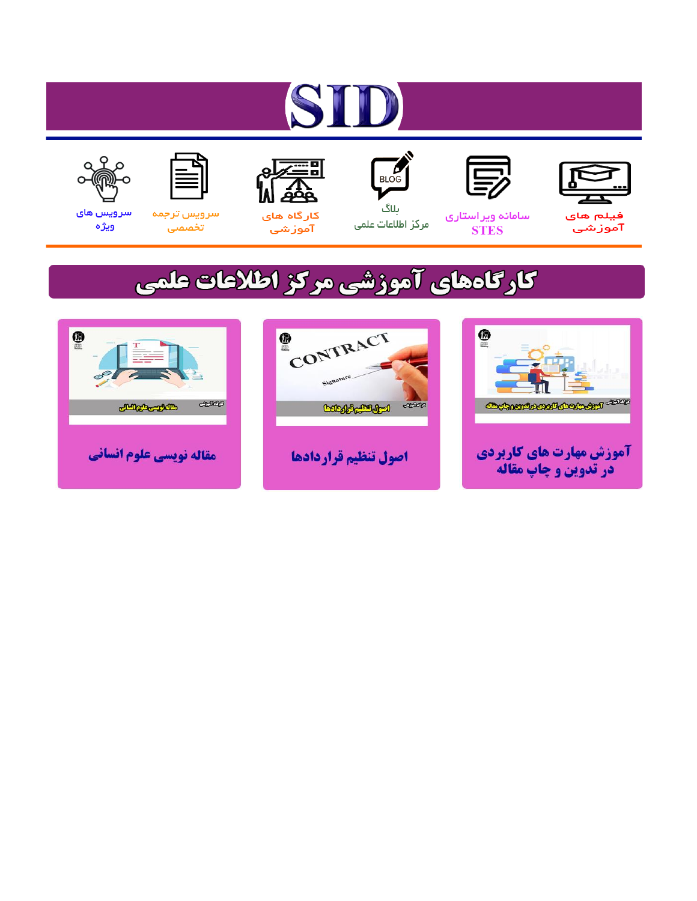# ST











مرکز اطلاعات علمی

 $\frac{1}{\sqrt{\frac{1}{100}}}$ ىلاگ



آموزشي

空

سرويس ترجمه تخصصى



سرویس های ويژه

# كارگاههای آموزشی مركز اطلاعات علمی





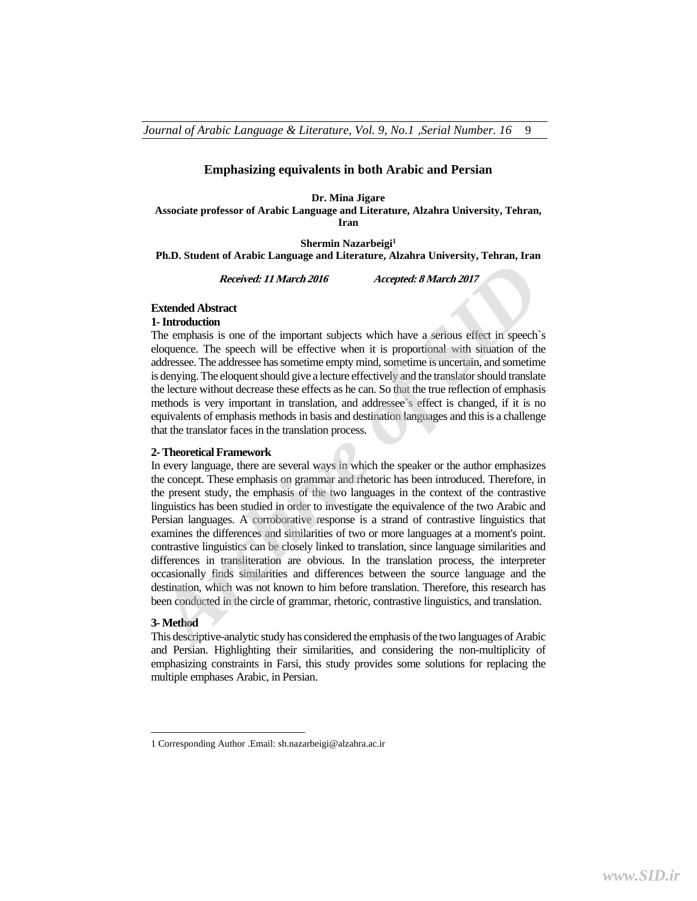## **Emphasizing equivalents in both Arabic and Persian**

#### **Dr. Mina Jigare**

**Associate professor of Arabic Language and Literature, Alzahra University, Tehran, Iran** 

**Shermin Nazarbeigi1**

**Ph.D. Student of Arabic Language and Literature, Alzahra University, Tehran, Iran** 

**Received: 11 March 2016 Accepted: 8 March 2017** 

# **Extended Abstract**

# **1- Introduction**

The emphasis is one of the important subjects which have a serious effect in speech`s eloquence. The speech will be effective when it is proportional with situation of the addressee. The addressee has sometime empty mind, sometime is uncertain, and sometime is denying. The eloquent should give a lecture effectively and the translator should translate the lecture without decrease these effects as he can. So that the true reflection of emphasis methods is very important in translation, and addressee`s effect is changed, if it is no equivalents of emphasis methods in basis and destination languages and this is a challenge that the translator faces in the translation process.

#### **2- Theoretical Framework**

In every language, there are several ways in which the speaker or the author emphasizes the concept. These emphasis on grammar and rhetoric has been introduced. Therefore, in the present study, the emphasis of the two languages in the context of the contrastive linguistics has been studied in order to investigate the equivalence of the two Arabic and Persian languages. A corroborative response is a strand of contrastive linguistics that examines the differences and similarities of two or more languages at a moment's point. contrastive linguistics can be closely linked to translation, since language similarities and differences in transliteration are obvious. In the translation process, the interpreter occasionally finds similarities and differences between the source language and the destination, which was not known to him before translation. Therefore, this research has been conducted in the circle of grammar, rhetoric, contrastive linguistics, and translation. **Extended Abstract** *II March 2016 Accepted: 8 March 2017*<br> **Accepted: 8 March 2017**<br> **1- Introduction**<br> **1- Introduction**<br> **1- Introduction**<br> **1- Introduction**<br> **1- Introduction**<br> **1- Introduction**<br> **1- Introducti** 

#### **3- Method**

This descriptive-analytic study has considered the emphasis of the two languages of Arabic and Persian. Highlighting their similarities, and considering the non-multiplicity of emphasizing constraints in Farsi, this study provides some solutions for replacing the multiple emphases Arabic, in Persian.

<sup>1</sup> Corresponding Author .Email: sh.nazarbeigi@alzahra.ac.ir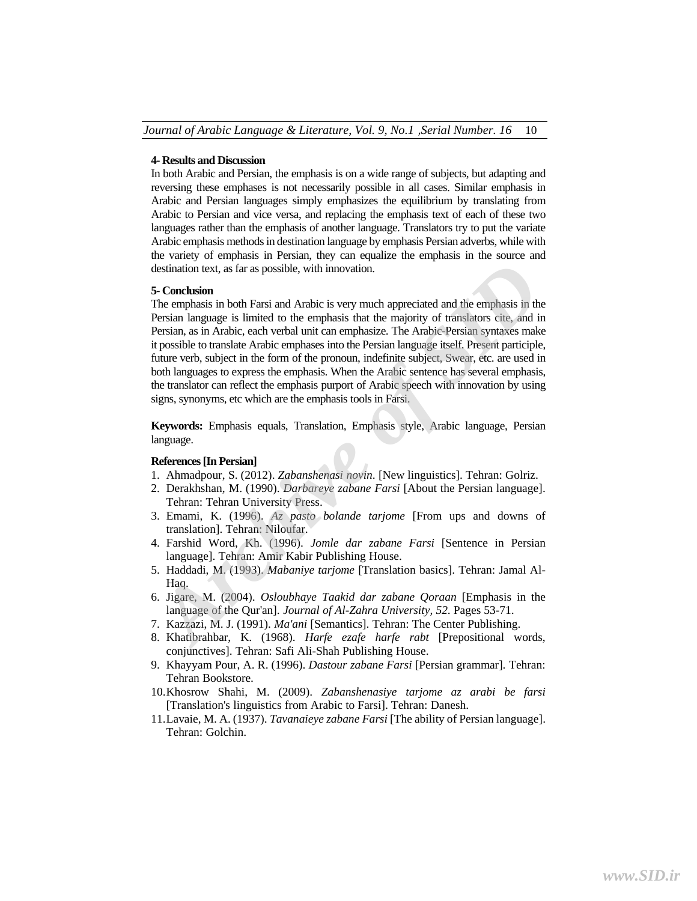# **4- Results and Discussion**

In both Arabic and Persian, the emphasis is on a wide range of subjects, but adapting and reversing these emphases is not necessarily possible in all cases. Similar emphasis in Arabic and Persian languages simply emphasizes the equilibrium by translating from Arabic to Persian and vice versa, and replacing the emphasis text of each of these two languages rather than the emphasis of another language. Translators try to put the variate Arabic emphasis methods in destination language by emphasis Persian adverbs, while with the variety of emphasis in Persian, they can equalize the emphasis in the source and destination text, as far as possible, with innovation.

#### **5- Conclusion**

The emphasis in both Farsi and Arabic is very much appreciated and the emphasis in the Persian language is limited to the emphasis that the majority of translators cite, and in Persian, as in Arabic, each verbal unit can emphasize. The Arabic-Persian syntaxes make it possible to translate Arabic emphases into the Persian language itself. Present participle, future verb, subject in the form of the pronoun, indefinite subject, Swear, etc. are used in both languages to express the emphasis. When the Arabic sentence has several emphasis, the translator can reflect the emphasis purport of Arabic speech with innovation by using signs, synonyms, etc which are the emphasis tools in Farsi. destination text, as far as possible, with innovation.<br> **5- Conclusion**<br> **7-** Conclusion<br>
The emphasis in both Farsi and Arabic is very much appreciated and the emphasis in the<br>
The remainanguage is limited to the emphasis

**Keywords:** Emphasis equals, Translation, Emphasis style, Arabic language, Persian language.

# **References [In Persian]**

- 1. Ahmadpour, S. (2012). *Zabanshenasi novin*. [New linguistics]. Tehran: Golriz.
- 2. Derakhshan, M. (1990). *Darbareye zabane Farsi* [About the Persian language]. Tehran: Tehran University Press.
- 3. Emami, K. (1996). *Az pasto bolande tarjome* [From ups and downs of translation]. Tehran: Niloufar.
- 4. Farshid Word, Kh. (1996). *Jomle dar zabane Farsi* [Sentence in Persian language]. Tehran: Amir Kabir Publishing House.
- 5. Haddadi, M. (1993). *Mabaniye tarjome* [Translation basics]. Tehran: Jamal Al-Haq.
- 6. Jigare, M. (2004). *Osloubhaye Taakid dar zabane Qoraan* [Emphasis in the language of the Qur'an]. *Journal of Al-Zahra University, 52*. Pages 53-71.
- 7. Kazzazi, M. J. (1991). *Ma'ani* [Semantics]. Tehran: The Center Publishing.
- 8. Khatibrahbar, K. (1968). *Harfe ezafe harfe rabt* [Prepositional words, conjunctives]. Tehran: Safi Ali-Shah Publishing House.
- 9. Khayyam Pour, A. R. (1996). *Dastour zabane Farsi* [Persian grammar]. Tehran: Tehran Bookstore.
- 10.Khosrow Shahi, M. (2009). *Zabanshenasiye tarjome az arabi be farsi* [Translation's linguistics from Arabic to Farsi]. Tehran: Danesh.
- 11.Lavaie, M. A. (1937). *Tavanaieye zabane Farsi* [The ability of Persian language]. Tehran: Golchin.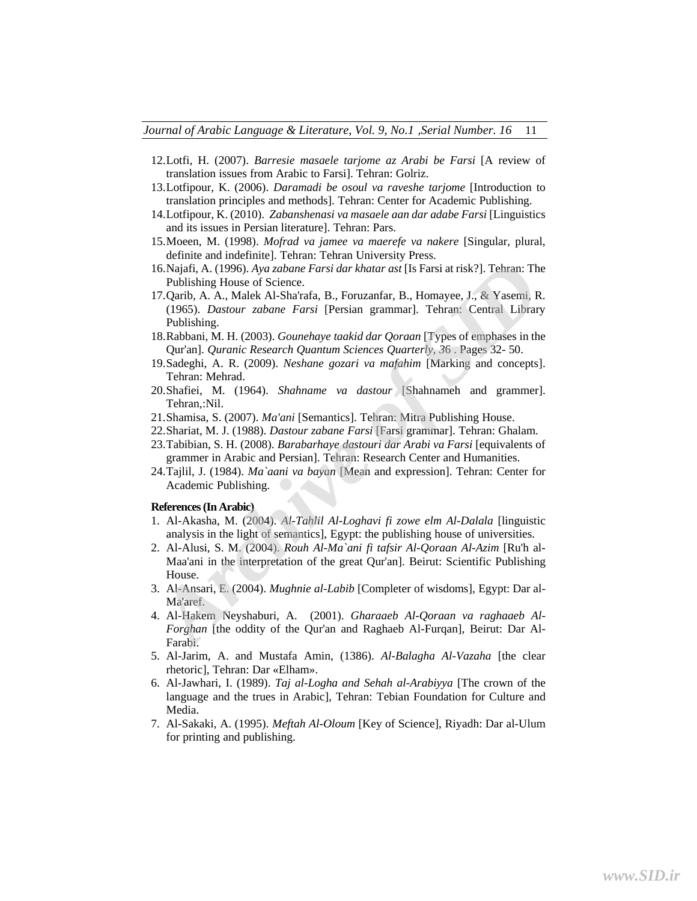- 12.Lotfi, H. (2007). *Barresie masaele tarjome az Arabi be Farsi* [A review of translation issues from Arabic to Farsi]. Tehran: Golriz.
- 13.Lotfipour, K. (2006). *Daramadi be osoul va raveshe tarjome* [Introduction to translation principles and methods]. Tehran: Center for Academic Publishing.
- 14.Lotfipour, K. (2010). *Zabanshenasi va masaele aan dar adabe Farsi* [Linguistics and its issues in Persian literature]. Tehran: Pars.
- 15.Moeen, M. (1998). *Mofrad va jamee va maerefe va nakere* [Singular, plural, definite and indefinite]. Tehran: Tehran University Press.
- 16.Najafi, A. (1996). *Aya zabane Farsi dar khatar ast* [Is Farsi at risk?]. Tehran: The Publishing House of Science.
- 17.Qarib, A. A., Malek Al-Sha'rafa, B., Foruzanfar, B., Homayee, J., & Yasemi, R. (1965). *Dastour zabane Farsi* [Persian grammar]. Tehran: Central Library Publishing.
- 18.Rabbani, M. H. (2003). *Gounehaye taakid dar Qoraan* [Types of emphases in the Qur'an]. *Quranic Research Quantum Sciences Quarterly, 3*6 . Pages 32- 50.
- 19.Sadeghi, A. R. (2009). *Neshane gozari va mafahim* [Marking and concepts]. Tehran: Mehrad.
- 20.Shafiei, M. (1964). *Shahname va dastour* [Shahnameh and grammer]. Tehran,:Nil.
- 21.Shamisa, S. (2007). *Ma'ani* [Semantics]. Tehran: Mitra Publishing House.
- 22.Shariat, M. J. (1988). *Dastour zabane Farsi* [Farsi grammar]. Tehran: Ghalam.
- 23.Tabibian, S. H. (2008). *Barabarhaye dastouri dar Arabi va Farsi* [equivalents of grammer in Arabic and Persian]. Tehran: Research Center and Humanities.
- 24.Tajlil, J. (1984). *Ma`aani va bayan* [Mean and expression]. Tehran: Center for Academic Publishing.

### **References (In Arabic)**

- 1. Al-Akasha, M. (2004). *Al-Tahlil Al-Loghavi fi zowe elm Al-Dalala* [linguistic analysis in the light of semantics], Egypt: the publishing house of universities.
- 2. Al-Alusi, S. M. (2004). *Rouh Al-Ma`ani fi tafsir Al-Qoraan Al-Azim* [Ru'h al-Maa'ani in the interpretation of the great Qur'an]. Beirut: Scientific Publishing House.
- 3. Al-Ansari, E. (2004). *Mughnie al-Labib* [Completer of wisdoms], Egypt: Dar al-Ma'aref.
- 4. Al-Hakem Neyshaburi, A. (2001). *Gharaaeb Al-Qoraan va raghaaeb Al-Forghan* [the oddity of the Qur'an and Raghaeb Al-Furqan], Beirut: Dar Al-Farabi. 16.Najafi, A. (1996). Aya *cabane Farsi dar khatar ast* [15 Farsi at risk?]. Tehran: The<br>
Publishing House of Science.<br>
17.Qarib, A. A., Malek Al-Sha'rafa, B., Foruzanfar, B., Homayee, J., & Yasemi, R.<br>
(1965). *Dastour za*
- 5. Al-Jarim, A. and Mustafa Amin, (1386). *Al-Balagha Al-Vazaha* [the clear rhetoric], Tehran: Dar «Elham».
- 6. Al-Jawhari, I. (1989). *Taj al-Logha and Sehah al-Arabiyya* [The crown of the language and the trues in Arabic], Tehran: Tebian Foundation for Culture and Media.
- 7. Al-Sakaki, A. (1995). *Meftah Al-Oloum* [Key of Science], Riyadh: Dar al-Ulum for printing and publishing.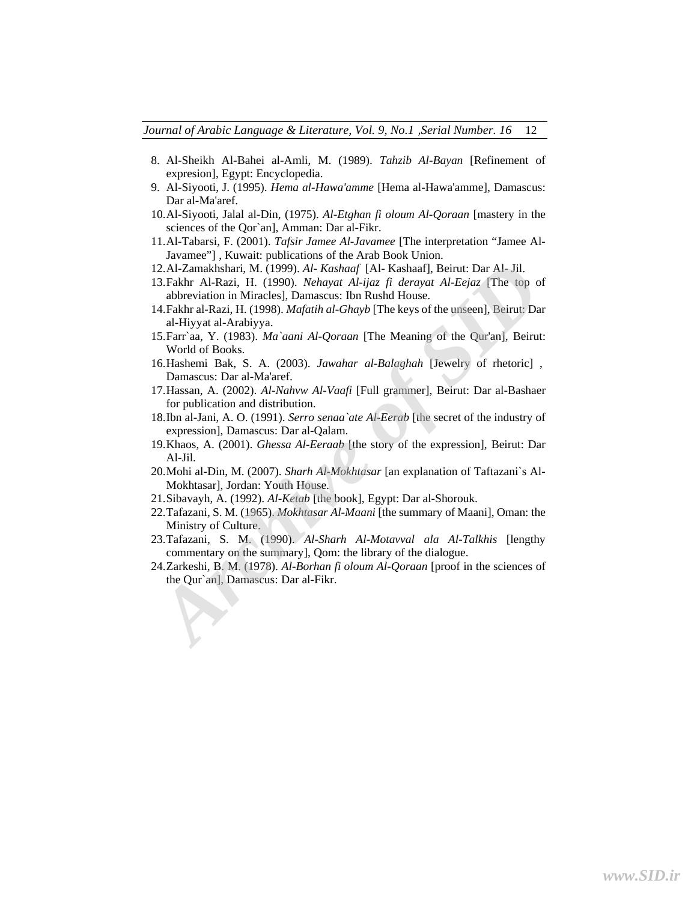*Journal of Arabic Language & Literature, Vol. 9, No.1* ,*Serial Number. 16* 12

- 8. Al-Sheikh Al-Bahei al-Amli, M. (1989). *Tahzib Al-Bayan* [Refinement of expresion], Egypt: Encyclopedia.
- 9. Al-Siyooti, J. (1995). *Hema al-Hawa'amme* [Hema al-Hawa'amme], Damascus: Dar al-Ma'aref.
- 10.Al-Siyooti, Jalal al-Din, (1975). *Al-Etghan fi oloum Al-Qoraan* [mastery in the sciences of the Qor`an], Amman: Dar al-Fikr.
- 11.Al-Tabarsi, F. (2001). *Tafsir Jamee Al-Javamee* [The interpretation "Jamee Al-Javamee"] , Kuwait: publications of the Arab Book Union.
- 12.Al-Zamakhshari, M. (1999). *Al- Kashaaf* [Al- Kashaaf], Beirut: Dar Al- Jil.
- 13.Fakhr Al-Razi, H. (1990). *Nehayat Al-ijaz fi derayat Al-Eejaz* [The top of abbreviation in Miracles], Damascus: Ibn Rushd House.
- 14.Fakhr al-Razi, H. (1998). *Mafatih al-Ghayb* [The keys of the unseen], Beirut: Dar al-Hiyyat al-Arabiyya.
- 15.Farr`aa, Y. (1983). *Ma`aani Al-Qoraan* [The Meaning of the Qur'an], Beirut: World of Books.
- 16.Hashemi Bak, S. A. (2003). *Jawahar al-Balaghah* [Jewelry of rhetoric] , Damascus: Dar al-Ma'aref.
- 17.Hassan, A. (2002). *Al-Nahvw Al-Vaafi* [Full grammer], Beirut: Dar al-Bashaer for publication and distribution.
- 18.Ibn al-Jani, A. O. (1991). *Serro senaa`ate Al-Eerab* [the secret of the industry of expression], Damascus: Dar al-Qalam.
- 19.Khaos, A. (2001). *Ghessa Al-Eeraab* [the story of the expression], Beirut: Dar Al-Jil.
- 20.Mohi al-Din, M. (2007). *Sharh Al-Mokhtasar* [an explanation of Taftazani`s Al-Mokhtasar], Jordan: Youth House.
- 21.Sibavayh, A. (1992). *Al-Ketab* [the book], Egypt: Dar al-Shorouk.
- 22.Tafazani, S. M. (1965). *Mokhtasar Al-Maani* [the summary of Maani], Oman: the Ministry of Culture. 12. Al-Zamakhshari, M. (1999). Al- *Kashaaf* [Al- Kashaaf], Beirut: Dar Al- Jil.<br>
13. Fakhr Al-Razi, H. (1990). Nehayat Al-Jiaz, Beraryat Al-Eejaz [The top of<br>
abbreviation in Miracles], Damascus: Ibn Rushd House.<br>
14. Fak
- 23.Tafazani, S. M. (1990). *Al-Sharh Al-Motavval ala Al-Talkhis* [lengthy commentary on the summary], Qom: the library of the dialogue.
- 24.Zarkeshi, B. M. (1978). *Al-Borhan fi oloum Al-Qoraan* [proof in the sciences of